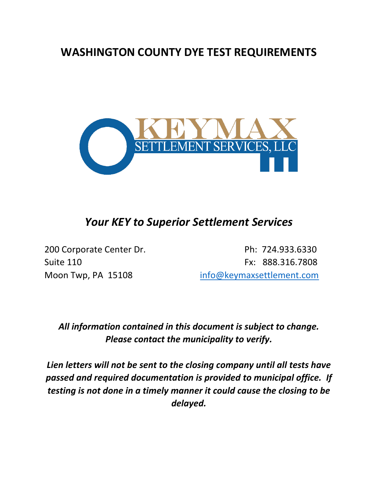## **WASHINGTON COUNTY DYE TEST REQUIREMENTS**



## *Your KEY to Superior Settlement Services*

200 Corporate Center Dr. **Ph: 724.933.6330** Suite 110 **Fx: 888.316.7808** Moon Twp, PA 15108 [info@keymaxsettlement.com](mailto:info@keymaxsettlement.com)

## *All information contained in this document is subject to change. Please contact the municipality to verify.*

*Lien letters will not be sent to the closing company until all tests have passed and required documentation is provided to municipal office. If testing is not done in a timely manner it could cause the closing to be delayed.*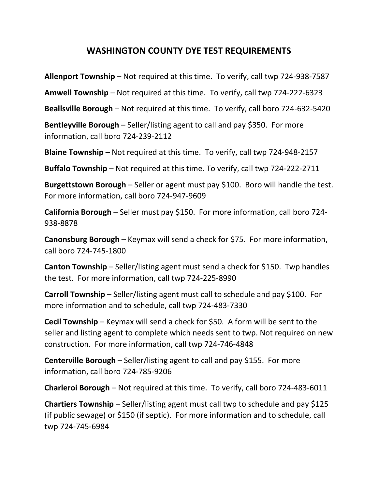## **WASHINGTON COUNTY DYE TEST REQUIREMENTS**

**Allenport Township** – Not required at this time. To verify, call twp 724-938-7587

**Amwell Township** – Not required at this time. To verify, call twp 724-222-6323

**Beallsville Borough** – Not required at this time. To verify, call boro 724-632-5420

**Bentleyville Borough** – Seller/listing agent to call and pay \$350. For more information, call boro 724-239-2112

**Blaine Township** – Not required at this time. To verify, call twp 724-948-2157

**Buffalo Township** – Not required at this time. To verify, call twp 724-222-2711

**Burgettstown Borough** – Seller or agent must pay \$100. Boro will handle the test. For more information, call boro 724-947-9609

**California Borough** – Seller must pay \$150. For more information, call boro 724- 938-8878

**Canonsburg Borough** – Keymax will send a check for \$75. For more information, call boro 724-745-1800

**Canton Township** – Seller/listing agent must send a check for \$150. Twp handles the test. For more information, call twp 724-225-8990

**Carroll Township** – Seller/listing agent must call to schedule and pay \$100. For more information and to schedule, call twp 724-483-7330

**Cecil Township** – Keymax will send a check for \$50. A form will be sent to the seller and listing agent to complete which needs sent to twp. Not required on new construction. For more information, call twp 724-746-4848

**Centerville Borough** – Seller/listing agent to call and pay \$155. For more information, call boro 724-785-9206

**Charleroi Borough** – Not required at this time. To verify, call boro 724-483-6011

**Chartiers Township** – Seller/listing agent must call twp to schedule and pay \$125 (if public sewage) or \$150 (if septic). For more information and to schedule, call twp 724-745-6984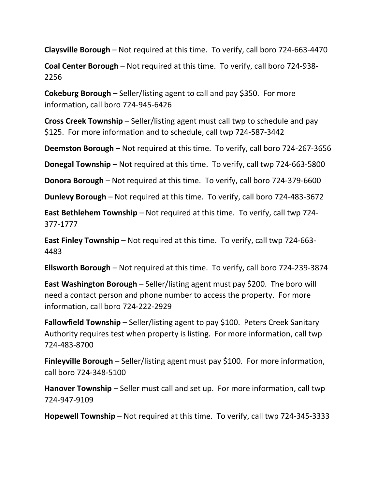**Claysville Borough** – Not required at this time. To verify, call boro 724-663-4470

**Coal Center Borough** – Not required at this time. To verify, call boro 724-938- 2256

**Cokeburg Borough** – Seller/listing agent to call and pay \$350. For more information, call boro 724-945-6426

**Cross Creek Township** – Seller/listing agent must call twp to schedule and pay \$125. For more information and to schedule, call twp 724-587-3442

**Deemston Borough** – Not required at this time. To verify, call boro 724-267-3656

**Donegal Township** – Not required at this time. To verify, call twp 724-663-5800

**Donora Borough** – Not required at this time. To verify, call boro 724-379-6600

**Dunlevy Borough** – Not required at this time. To verify, call boro 724-483-3672

**East Bethlehem Township** – Not required at this time. To verify, call twp 724- 377-1777

**East Finley Township** – Not required at this time. To verify, call twp 724-663- 4483

**Ellsworth Borough** – Not required at this time. To verify, call boro 724-239-3874

**East Washington Borough** – Seller/listing agent must pay \$200. The boro will need a contact person and phone number to access the property. For more information, call boro 724-222-2929

**Fallowfield Township** – Seller/listing agent to pay \$100. Peters Creek Sanitary Authority requires test when property is listing. For more information, call twp 724-483-8700

**Finleyville Borough** – Seller/listing agent must pay \$100. For more information, call boro 724-348-5100

**Hanover Township** – Seller must call and set up. For more information, call twp 724-947-9109

**Hopewell Township** – Not required at this time. To verify, call twp 724-345-3333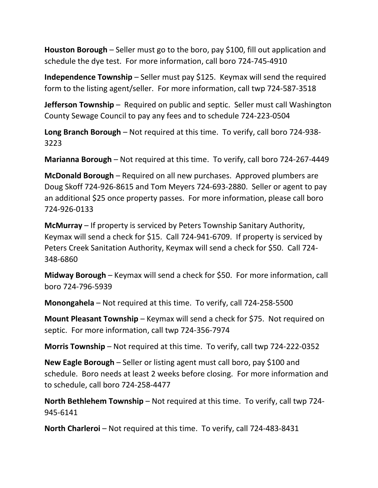**Houston Borough** – Seller must go to the boro, pay \$100, fill out application and schedule the dye test. For more information, call boro 724-745-4910

**Independence Township** – Seller must pay \$125. Keymax will send the required form to the listing agent/seller. For more information, call twp 724-587-3518

**Jefferson Township** – Required on public and septic. Seller must call Washington County Sewage Council to pay any fees and to schedule 724-223-0504

**Long Branch Borough** – Not required at this time. To verify, call boro 724-938- 3223

**Marianna Borough** – Not required at this time. To verify, call boro 724-267-4449

**McDonald Borough** – Required on all new purchases. Approved plumbers are Doug Skoff 724-926-8615 and Tom Meyers 724-693-2880. Seller or agent to pay an additional \$25 once property passes. For more information, please call boro 724-926-0133

**McMurray** – If property is serviced by Peters Township Sanitary Authority, Keymax will send a check for \$15. Call 724-941-6709. If property is serviced by Peters Creek Sanitation Authority, Keymax will send a check for \$50. Call 724- 348-6860

**Midway Borough** – Keymax will send a check for \$50. For more information, call boro 724-796-5939

**Monongahela** – Not required at this time. To verify, call 724-258-5500

**Mount Pleasant Township** – Keymax will send a check for \$75. Not required on septic. For more information, call twp 724-356-7974

**Morris Township** – Not required at this time. To verify, call twp 724-222-0352

**New Eagle Borough** – Seller or listing agent must call boro, pay \$100 and schedule. Boro needs at least 2 weeks before closing. For more information and to schedule, call boro 724-258-4477

**North Bethlehem Township** – Not required at this time. To verify, call twp 724- 945-6141

**North Charleroi** – Not required at this time. To verify, call 724-483-8431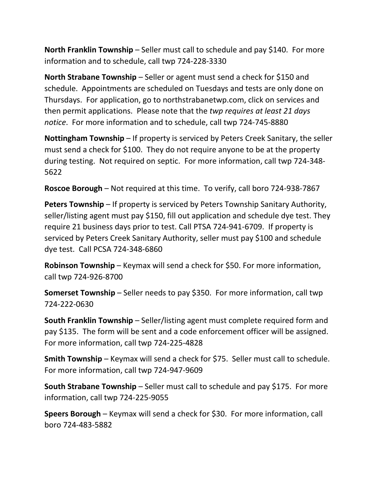**North Franklin Township** – Seller must call to schedule and pay \$140. For more information and to schedule, call twp 724-228-3330

**North Strabane Township** – Seller or agent must send a check for \$150 and schedule. Appointments are scheduled on Tuesdays and tests are only done on Thursdays. For application, go to northstrabanetwp.com, click on services and then permit applications. Please note that the *twp requires at least 21 days notice*. For more information and to schedule, call twp 724-745-8880

**Nottingham Township** – If property is serviced by Peters Creek Sanitary, the seller must send a check for \$100. They do not require anyone to be at the property during testing. Not required on septic. For more information, call twp 724-348- 5622

**Roscoe Borough** – Not required at this time. To verify, call boro 724-938-7867

**Peters Township** – If property is serviced by Peters Township Sanitary Authority, seller/listing agent must pay \$150, fill out application and schedule dye test. They require 21 business days prior to test. Call PTSA 724-941-6709. If property is serviced by Peters Creek Sanitary Authority, seller must pay \$100 and schedule dye test. Call PCSA 724-348-6860

**Robinson Township** – Keymax will send a check for \$50. For more information, call twp 724-926-8700

**Somerset Township** – Seller needs to pay \$350. For more information, call twp 724-222-0630

**South Franklin Township** – Seller/listing agent must complete required form and pay \$135. The form will be sent and a code enforcement officer will be assigned. For more information, call twp 724-225-4828

**Smith Township** – Keymax will send a check for \$75. Seller must call to schedule. For more information, call twp 724-947-9609

**South Strabane Township** – Seller must call to schedule and pay \$175. For more information, call twp 724-225-9055

**Speers Borough** – Keymax will send a check for \$30. For more information, call boro 724-483-5882